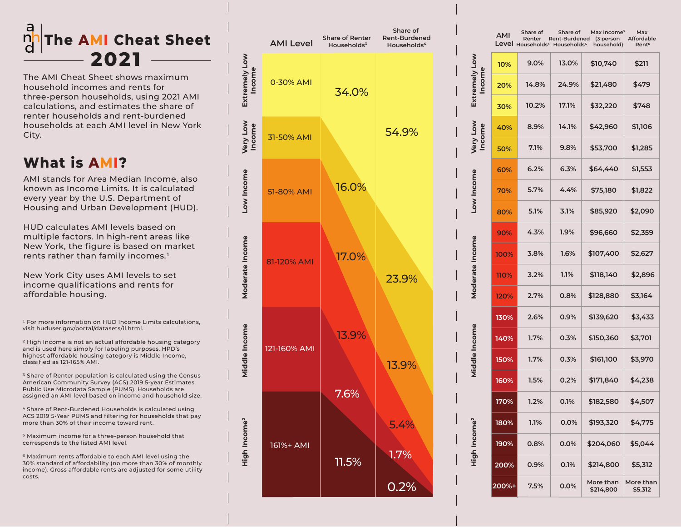## **The AMI Cheat Sheet 2021**

The AMI Cheat Sheet shows maximum household incomes and rents for three-person households, using 2021 AMI calculations, and estimates the share of renter households and rent-burdened households at each AMI level in New York City.

## **What is AMI?**

AMI stands for Area Median Income, also known as Income Limits. It is calculated every year by the U.S. Department of Housing and Urban Development (HUD).

HUD calculates AMI levels based on multiple factors. In high-rent areas like New York, the figure is based on market rents rather than family incomes.<sup>1</sup>

New York City uses AMI levels to set income qualifications and rents for affordable housing.

1 For more information on HUD Income Limits calculations, visit huduser.gov/portal/datasets/il.html.

2 High Income is not an actual affordable housing category and is used here simply for labeling purposes. HPD's highest affordable housing category is Middle Income, classified as 121-165% AMI.

<sup>3</sup> Share of Renter population is calculated using the Census American Community Survey (ACS) 2019 5-year Estimates Public Use Microdata Sample (PUMS). Households are assigned an AMI level based on income and household size.

4 Share of Rent-Burdened Households is calculated using ACS 2019 5-Year PUMS and filtering for households that pay more than 30% of their income toward rent.

5 Maximum income for a three-person household that corresponds to the listed AMI level.

6 Maximum rents affordable to each AMI level using the 30% standard of affordability (no more than 30% of monthly income). Gross affordable rents are adjusted for some utility costs.



|                           | AMI   | Share of<br>Renter<br>Level Households <sup>3</sup> | Share of<br>Rent-Burdened<br>Households <sup>4</sup> | Max Income <sup>s</sup><br>(3 person<br>household) | Max<br>Affordable<br>Rent <sup>6</sup> |
|---------------------------|-------|-----------------------------------------------------|------------------------------------------------------|----------------------------------------------------|----------------------------------------|
| Extremely Low<br>Income   | 10%   | 9.0%                                                | 13.0%                                                | \$10,740                                           | \$211                                  |
|                           | 20%   | 14.8%                                               | 24.9%                                                | \$21,480                                           | \$479                                  |
|                           | 30%   | 10.2%                                               | 17.1%                                                | \$32,220                                           | \$748                                  |
| Very Low<br><b>Income</b> | 40%   | 8.9%                                                | 14.1%                                                | \$42,960                                           | \$1,106                                |
|                           | 50%   | 7.1%                                                | 9.8%                                                 | \$53,700                                           | \$1,285                                |
| Low Income                | 60%   | 6.2%                                                | 6.3%                                                 | \$64,440                                           | \$1,553                                |
|                           | 70%   | 5.7%                                                | 4.4%                                                 | \$75,180                                           | \$1,822                                |
|                           | 80%   | 5.1%                                                | 3.1%                                                 | \$85,920                                           | \$2,090                                |
| Moderate Income           | 90%   | 4.3%                                                | 1.9%                                                 | \$96,660                                           | \$2,359                                |
|                           | 100%  | 3.8%                                                | 1.6%                                                 | \$107,400                                          | \$2,627                                |
|                           | 110%  | 3.2%                                                | 1.1%                                                 | \$118,140                                          | \$2,896                                |
|                           | 120%  | 2.7%                                                | $0.8\%$                                              | \$128,880                                          | \$3,164                                |
| Middle Income             | 130%  | 2.6%                                                | 0.9%                                                 | \$139,620                                          | \$3,433                                |
|                           | 140%  | 1.7%                                                | 0.3%                                                 | \$150,360                                          | \$3,701                                |
|                           | 150%  | 1.7%                                                | 0.3%                                                 | \$161,100                                          | \$3,970                                |
|                           | 160%  | 1.5%                                                | 0.2%                                                 | \$171,840                                          | \$4,238                                |
| High Income <sup>2</sup>  | 170%  | 1.2%                                                | 0.1%                                                 | \$182,580                                          | \$4,507                                |
|                           | 180%  | 1.1%                                                | 0.0%                                                 | \$193,320                                          | \$4,775                                |
|                           | 190%  | $0.8\%$                                             | $0.0\%$                                              | \$204,060                                          | \$5,044                                |
|                           | 200%  | 0.9%                                                | 0.1%                                                 | \$214,800                                          | \$5,312                                |
|                           | 200%+ | $7.5\%$                                             | 0.0%                                                 | More than<br>\$214,800                             | More than<br>\$5,312                   |